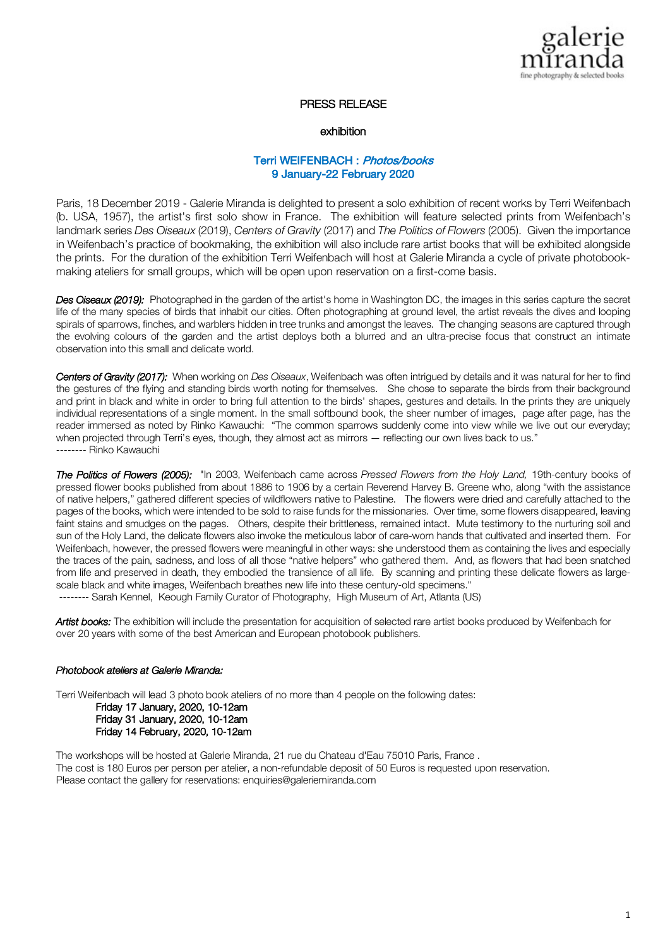

# PRESS RELEASE

#### exhibition

# Terri WEIFENBACH : Photos/books 9 January-22 February 2020

Paris, 18 December 2019 - Galerie Miranda is delighted to present a solo exhibition of recent works by Terri Weifenbach (b. USA, 1957), the artist's first solo show in France. The exhibition will feature selected prints from Weifenbach's landmark series *Des Oiseaux* (2019), *Centers of Gravity* (2017) and *The Politics of Flowers* (2005). Given the importance in Weifenbach's practice of bookmaking, the exhibition will also include rare artist books that will be exhibited alongside the prints. For the duration of the exhibition Terri Weifenbach will host at Galerie Miranda a cycle of private photobookmaking ateliers for small groups, which will be open upon reservation on a first-come basis.

*Des Oiseaux (2019):* Photographed in the garden of the artist's home in Washington DC, the images in this series capture the secret life of the many species of birds that inhabit our cities. Often photographing at ground level, the artist reveals the dives and looping spirals of sparrows, finches, and warblers hidden in tree trunks and amongst the leaves. The changing seasons are captured through the evolving colours of the garden and the artist deploys both a blurred and an ultra-precise focus that construct an intimate observation into this small and delicate world.

*Centers of Gravity (2017):* When working on *Des Oiseaux*, Weifenbach was often intrigued by details and it was natural for her to find the gestures of the flying and standing birds worth noting for themselves. She chose to separate the birds from their background and print in black and white in order to bring full attention to the birds' shapes, gestures and details. In the prints they are uniquely individual representations of a single moment. In the small softbound book, the sheer number of images, page after page, has the reader immersed as noted by Rinko Kawauchi: "The common sparrows suddenly come into view while we live out our everyday; when projected through Terri's eyes, though, they almost act as mirrors — reflecting our own lives back to us." -------- Rinko Kawauchi

*The Politics of Flowers (2005):* "In 2003, Weifenbach came across *Pressed Flowers from the Holy Land,* 19th-century books of pressed flower books published from about 1886 to 1906 by a certain Reverend Harvey B. Greene who, along "with the assistance of native helpers," gathered different species of wildflowers native to Palestine. The flowers were dried and carefully attached to the pages of the books, which were intended to be sold to raise funds for the missionaries. Over time, some flowers disappeared, leaving faint stains and smudges on the pages. Others, despite their brittleness, remained intact. Mute testimony to the nurturing soil and sun of the Holy Land, the delicate flowers also invoke the meticulous labor of care-worn hands that cultivated and inserted them. For Weifenbach, however, the pressed flowers were meaningful in other ways: she understood them as containing the lives and especially the traces of the pain, sadness, and loss of all those "native helpers" who gathered them. And, as flowers that had been snatched from life and preserved in death, they embodied the transience of all life. By scanning and printing these delicate flowers as largescale black and white images, Weifenbach breathes new life into these century-old specimens." -------- Sarah Kennel, Keough Family Curator of Photography, High Museum of Art, Atlanta (US)

Artist books: The exhibition will include the presentation for acquisition of selected rare artist books produced by Weifenbach for over 20 years with some of the best American and European photobook publishers.

## *Photobook ateliers at Galerie Miranda:*

Terri Weifenbach will lead 3 photo book ateliers of no more than 4 people on the following dates:

 Friday 17 January, 2020, 10-12am Friday 31 January, 2020, 10-12am Friday 14 February, 2020, 10-12am

The workshops will be hosted at Galerie Miranda, 21 rue du Chateau d'Eau 75010 Paris, France . The cost is 180 Euros per person per atelier, a non-refundable deposit of 50 Euros is requested upon reservation. Please contact the gallery for reservations: enquiries@galeriemiranda.com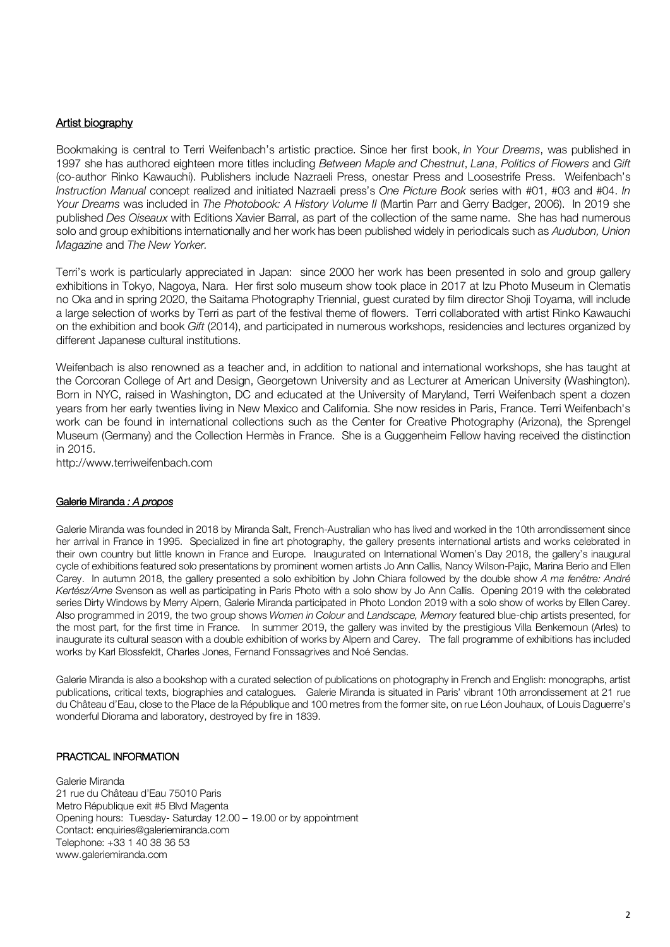# Artist biography

Bookmaking is central to Terri Weifenbach's artistic practice. Since her first book, *In Your Dreams*, was published in 1997 she has authored eighteen more titles including *Between Maple and Chestnut*, *Lana*, *Politics of Flowers* and *Gift* (co-author Rinko Kawauchi). Publishers include Nazraeli Press, onestar Press and Loosestrife Press. Weifenbach's *Instruction Manual* concept realized and initiated Nazraeli press's *One Picture Book* series with #01, #03 and #04. *In Your Dreams* was included in *The Photobook: A History Volume II* (Martin Parr and Gerry Badger, 2006). In 2019 she published *Des Oiseaux* with Editions Xavier Barral, as part of the collection of the same name. She has had numerous solo and group exhibitions internationally and her work has been published widely in periodicals such as *Audubon, Union Magazine* and *The New Yorker.*

Terri's work is particularly appreciated in Japan: since 2000 her work has been presented in solo and group gallery exhibitions in Tokyo, Nagoya, Nara. Her first solo museum show took place in 2017 at Izu Photo Museum in Clematis no Oka and in spring 2020, the Saitama Photography Triennial, guest curated by film director Shoji Toyama, will include a large selection of works by Terri as part of the festival theme of flowers. Terri collaborated with artist Rinko Kawauchi on the exhibition and book *Gift* (2014), and participated in numerous workshops, residencies and lectures organized by different Japanese cultural institutions.

Weifenbach is also renowned as a teacher and, in addition to national and international workshops, she has taught at the Corcoran College of Art and Design, Georgetown University and as Lecturer at American University (Washington). Born in NYC, raised in Washington, DC and educated at the University of Maryland, Terri Weifenbach spent a dozen years from her early twenties living in New Mexico and California. She now resides in Paris, France. Terri Weifenbach's work can be found in international collections such as the Center for Creative Photography (Arizona), the Sprengel Museum (Germany) and the Collection Hermès in France. She is a Guggenheim Fellow having received the distinction in 2015.

http://www.terriweifenbach.com

## Galerie Miranda *: A propos*

Galerie Miranda was founded in 2018 by Miranda Salt, French-Australian who has lived and worked in the 10th arrondissement since her arrival in France in 1995. Specialized in fine art photography, the gallery presents international artists and works celebrated in their own country but little known in France and Europe. Inaugurated on International Women's Day 2018, the gallery's inaugural cycle of exhibitions featured solo presentations by prominent women artists Jo Ann Callis, Nancy Wilson-Pajic, Marina Berio and Ellen Carey. In autumn 2018, the gallery presented a solo exhibition by John Chiara followed by the double show *A ma fenêtre: André Kertész/Arne* Svenson as well as participating in Paris Photo with a solo show by Jo Ann Callis. Opening 2019 with the celebrated series Dirty Windows by Merry Alpern, Galerie Miranda participated in Photo London 2019 with a solo show of works by Ellen Carey. Also programmed in 2019, the two group shows *Women in Colour* and *Landscape, Memory* featured blue-chip artists presented, for the most part, for the first time in France. In summer 2019, the gallery was invited by the prestigious Villa Benkemoun (Arles) to inaugurate its cultural season with a double exhibition of works by Alpern and Carey. The fall programme of exhibitions has included works by Karl Blossfeldt, Charles Jones, Fernand Fonssagrives and Noé Sendas.

Galerie Miranda is also a bookshop with a curated selection of publications on photography in French and English: monographs, artist publications, critical texts, biographies and catalogues. Galerie Miranda is situated in Paris' vibrant 10th arrondissement at 21 rue du Château d'Eau, close to the Place de la République and 100 metres from the former site, on rue Léon Jouhaux, of Louis Daguerre's wonderful Diorama and laboratory, destroyed by fire in 1839.

## PRACTICAL INFORMATION

Galerie Miranda 21 rue du Château d'Eau 75010 Paris Metro République exit #5 Blvd Magenta Opening hours: Tuesday- Saturday 12.00 – 19.00 or by appointment Contact: enquiries@galeriemiranda.com Telephone: +33 1 40 38 36 53 www.galeriemiranda.com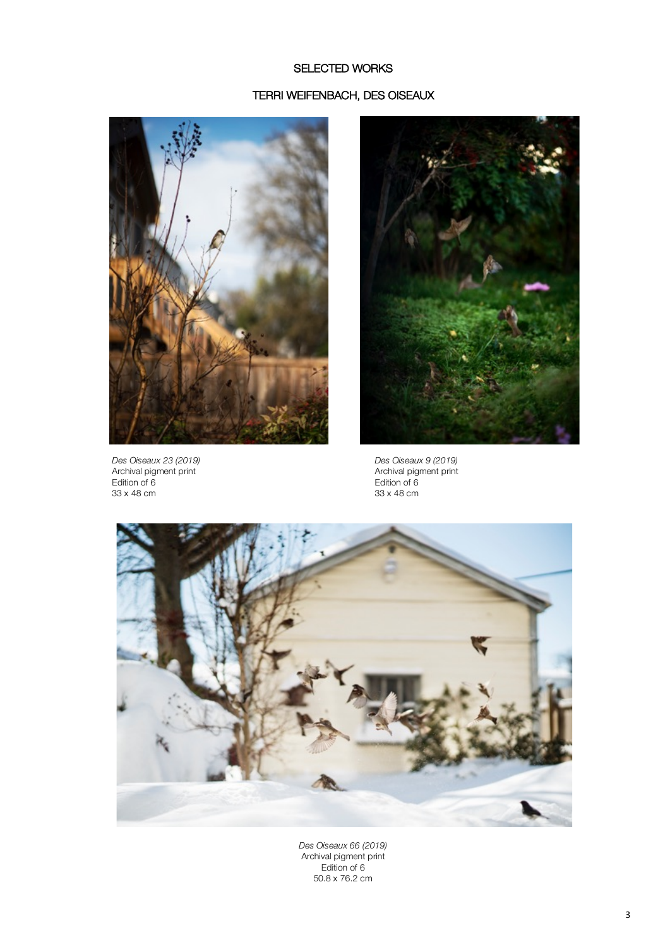# SELECTED WORKS

#### TERRI WEIFENBACH, DES OISEAUX



*Des Oiseaux 23 (2019) Des Oiseaux 9 (2019)* Archival pigment print Archival pigment print Edition of 6 Edition of 6 33 x 48 cm 33 x 48 cm





*Des Oiseaux 66 (2019)* Archival pigment print Edition of 6 50.8 x 76.2 cm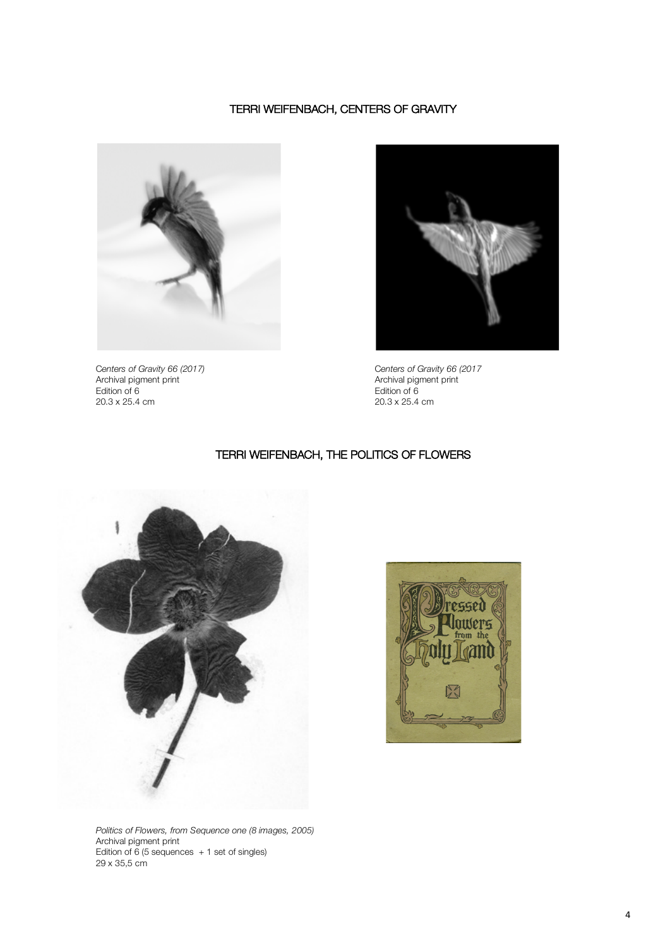# TERRI WEIFENBACH, CENTERS OF GRAVITY



Archival pigment print Archival pigment print Edition of 6 Edition of 6



C*enters of Gravity 66 (2017)* C*enters of Gravity 66 (2017* Centers of Gravity 66 (2017)<br>
20.3 x 25.4 cm<br>
20.3 x 25.4 cm<br>
20.3 x 25.4 cm<br>
20.3 x 25.4 cm

## TERRI WEIFENBACH, THE POLITICS OF FLOWERS





*Politics of Flowers, from Sequence one (8 images, 2005)* Archival pigment print Edition of 6 (5 sequences  $+1$  set of singles) 29 x 35,5 cm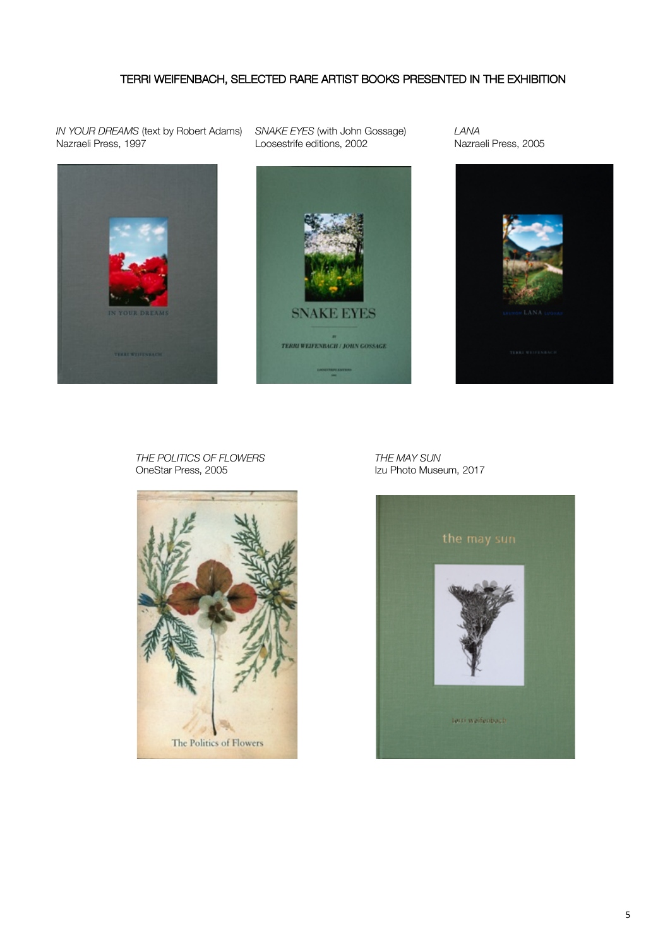# TERRI WEIFENBACH, SELECTED RARE ARTIST BOOKS PRESENTED IN THE EXHIBITION

*IN YOUR DREAMS* (text by Robert Adams) *SNAKE EYES* (with John Gossage) *LANA*



Loosestrife editions, 2002





*THE POLITICS OF FLOWERS THE MAY SUN* OneStar Press, 2005 **Izu Photo Museum, 2017** 



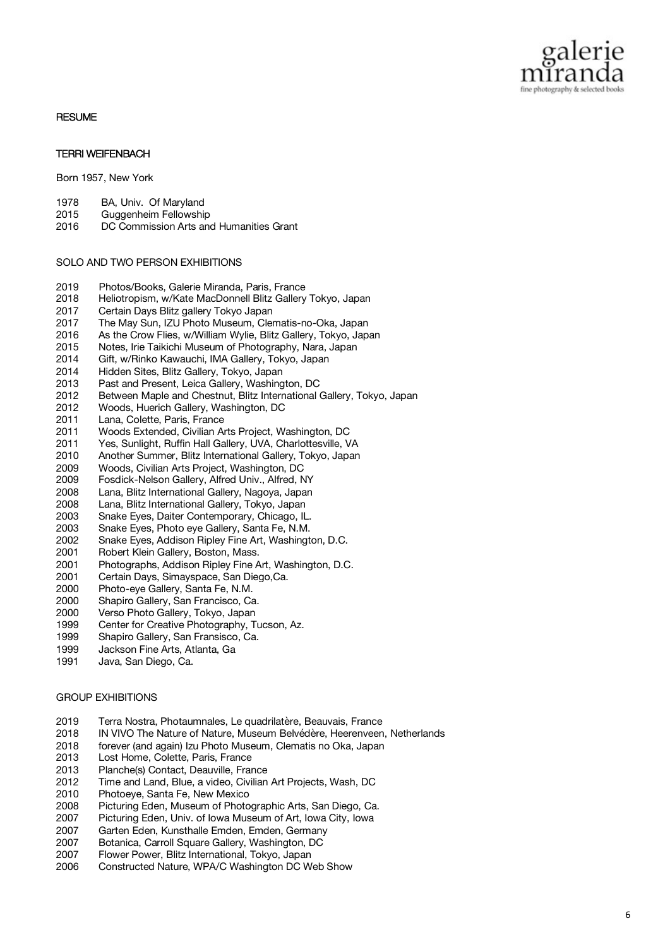

#### **RESUME**

### TERRI WEIFENBACH

Born 1957, New York

- 1978 BA, Univ. Of Maryland
- 2015 Guggenheim Fellowship
- 2016 DC Commission Arts and Humanities Grant

#### SOLO AND TWO PERSON EXHIBITIONS

- 2019 Photos/Books, Galerie Miranda, Paris, France
- 2018 Heliotropism, w/Kate MacDonnell Blitz Gallery Tokyo, Japan
- 2017 Certain Days Blitz gallery Tokyo Japan
- 2017 The May Sun, IZU Photo Museum, Clematis-no-Oka, Japan
- 2016 As the Crow Flies, w/William Wylie, Blitz Gallery, Tokyo, Japan
- 2015 Notes, Irie Taikichi Museum of Photography, Nara, Japan
- 2014 Gift, w/Rinko Kawauchi, IMA Gallery, Tokyo, Japan
- 2014 Hidden Sites, Blitz Gallery, Tokyo, Japan
- 2013 Past and Present, Leica Gallery, Washington, DC
- 2012 Between Maple and Chestnut, Blitz International Gallery, Tokyo, Japan
- 2012 Woods, Huerich Gallery, Washington, DC
- 2011 Lana, Colette, Paris, France
- 2011 Woods Extended, Civilian Arts Project, Washington, DC
- 2011 Yes, Sunlight, Ruffin Hall Gallery, UVA, Charlottesville, VA
- 2010 Another Summer, Blitz International Gallery, Tokyo, Japan
- 2009 Woods, Civilian Arts Project, Washington, DC
- 2009 Fosdick-Nelson Gallery, Alfred Univ., Alfred, NY
- 2008 Lana, Blitz International Gallery, Nagoya, Japan
- 2008 Lana, Blitz International Gallery, Tokyo, Japan
- 2003 Snake Eyes, Daiter Contemporary, Chicago, IL.
- 2003 Snake Eyes, Photo eye Gallery, Santa Fe, N.M.
- 2002 Snake Eyes, Addison Ripley Fine Art, Washington, D.C.
- 2001 Robert Klein Gallery, Boston, Mass.
- 2001 Photographs, Addison Ripley Fine Art, Washington, D.C.
- 2001 Certain Days, Simayspace, San Diego,Ca.
- 2000 Photo-eye Gallery, Santa Fe, N.M.
- 2000 Shapiro Gallery, San Francisco, Ca.
- 2000 Verso Photo Gallery, Tokyo, Japan
- 1999 Center for Creative Photography, Tucson, Az.
- 1999 Shapiro Gallery, San Fransisco, Ca.
- 1999 Jackson Fine Arts, Atlanta, Ga
- 1991 Java, San Diego, Ca.

#### GROUP EXHIBITIONS

- 2019 Terra Nostra, Photaumnales, Le quadrilatère, Beauvais, France<br>2018 IN VIVO The Nature of Nature. Museum Belvédère. Heerenveen
- IN VIVO The Nature of Nature, Museum Belvédère, Heerenveen, Netherlands
- 2018 forever (and again) Izu Photo Museum, Clematis no Oka, Japan
- 2013 Lost Home, Colette, Paris, France
- 2013 Planche(s) Contact, Deauville, France
- 2012 Time and Land, Blue, a video, Civilian Art Projects, Wash, DC
- 2010 Photoeye, Santa Fe, New Mexico<br>2008 Picturing Eden. Museum of Photo
- Picturing Eden, Museum of Photographic Arts, San Diego, Ca.
- 2007 Picturing Eden, Univ. of Iowa Museum of Art, Iowa City, Iowa
- 2007 Garten Eden, Kunsthalle Emden, Emden, Germany
- 2007 Botanica, Carroll Square Gallery, Washington, DC
- 2007 Flower Power, Blitz International, Tokyo, Japan
- 2006 Constructed Nature, WPA/C Washington DC Web Show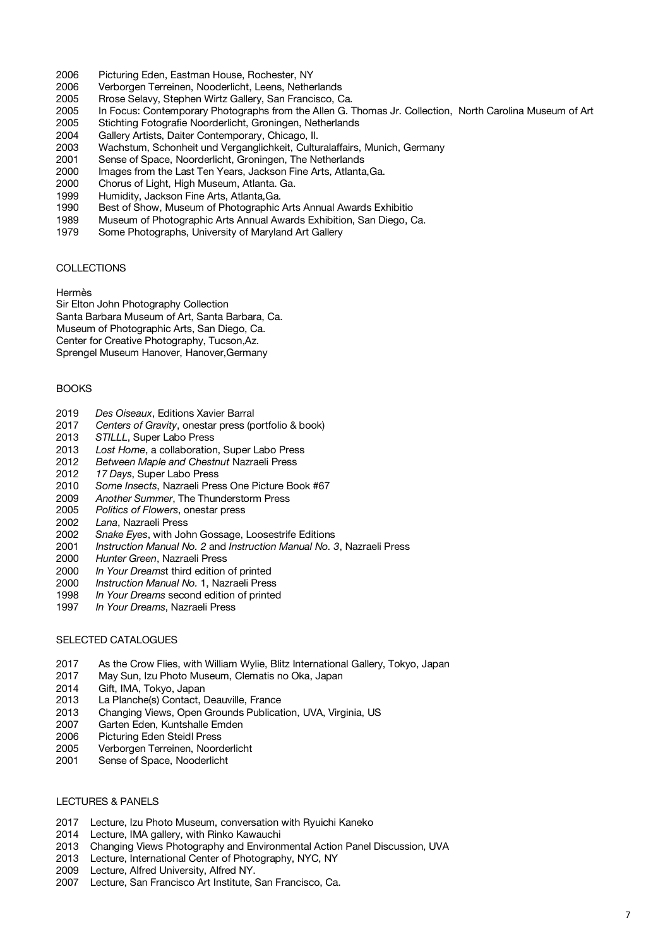- 2006 Picturing Eden, Eastman House, Rochester, NY
- 2006 Verborgen Terreinen, Nooderlicht, Leens, Netherlands<br>2005 Rrose Selavy, Stephen Wirtz Gallery, San Francisco, C
- Rrose Selavy, Stephen Wirtz Gallery, San Francisco, Ca.
- 2005 In Focus: Contemporary Photographs from the Allen G. Thomas Jr. Collection, North Carolina Museum of Art
- 2005 Stichting Fotografie Noorderlicht, Groningen, Netherlands
- 2004 Gallery Artists, Daiter Contemporary, Chicago, Il.
- 2003 Wachstum, Schonheit und Verganglichkeit, Culturalaffairs, Munich, Germany
- 2001 Sense of Space, Noorderlicht, Groningen, The Netherlands
- 2000 Images from the Last Ten Years, Jackson Fine Arts, Atlanta,Ga.
- 2000 Chorus of Light, High Museum, Atlanta. Ga.
- 1999 Humidity, Jackson Fine Arts, Atlanta,Ga.
- 1990 Best of Show, Museum of Photographic Arts Annual Awards Exhibitio
- 1989 Museum of Photographic Arts Annual Awards Exhibition, San Diego, Ca.
- 1979 Some Photographs, University of Maryland Art Gallery

# COLLECTIONS

# Hermès

Sir Elton John Photography Collection

Santa Barbara Museum of Art, Santa Barbara, Ca.

Museum of Photographic Arts, San Diego, Ca.

Center for Creative Photography, Tucson,Az.

Sprengel Museum Hanover, Hanover,Germany

# BOOKS

- 2019 *Des Oiseaux*, Editions Xavier Barral
- 2017 *Centers of Gravity*, onestar press (portfolio & book)
- 2013 *STILLL*, Super Labo Press
- 2013 *Lost Home*, a collaboration, Super Labo Press
- 2012 *Between Maple and Chestnut* Nazraeli Press
- 2012 *17 Days*, Super Labo Press
- 2010 *Some Insects*, Nazraeli Press One Picture Book #67
- 2009 *Another Summer*, The Thunderstorm Press
- 2005 *Politics of Flowers*, onestar press
- 2002 *Lana*, Nazraeli Press
- Snake Eyes, with John Gossage, Loosestrife Editions
- 2001 *Instruction Manual No. 2* and *Instruction Manual No. 3*, Nazraeli Press
- 2000 *Hunter Green*, Nazraeli Press
- 2000 *In Your Dreams*t third edition of printed
- 2000 *Instruction Manual No.* 1, Nazraeli Press
- 1998 *In Your Dreams* second edition of printed
- 1997 *In Your Dreams*, Nazraeli Press

# SELECTED CATALOGUES

- 2017 As the Crow Flies, with William Wylie, Blitz International Gallery, Tokyo, Japan
- 2017 May Sun, Izu Photo Museum, Clematis no Oka, Japan
- 2014 Gift, IMA, Tokyo, Japan
- 2013 La Planche(s) Contact, Deauville, France
- 2013 Changing Views, Open Grounds Publication, UVA, Virginia, US
- 2007 Garten Eden, Kuntshalle Emden
- 2006 Picturing Eden Steidl Press
- 2005 Verborgen Terreinen, Noorderlicht
- 2001 Sense of Space, Nooderlicht

## LECTURES & PANELS

- 2017 Lecture, Izu Photo Museum, conversation with Ryuichi Kaneko
- 2014 Lecture, IMA gallery, with Rinko Kawauchi
- 2013 Changing Views Photography and Environmental Action Panel Discussion, UVA
- 2013 Lecture, International Center of Photography, NYC, NY
- 2009 Lecture, Alfred University, Alfred NY.
- 2007 Lecture, San Francisco Art Institute, San Francisco, Ca.